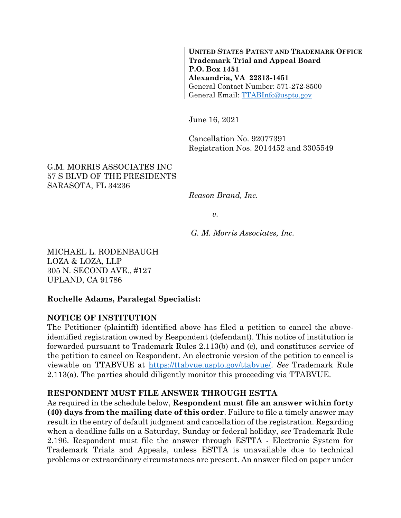**UNITED STATES PATENT AND TRADEMARK OFFICE Trademark Trial and Appeal Board P.O. Box 1451 Alexandria, VA 22313-1451** General Contact Number: 571-272-8500 General Email: [TTABInfo@uspto.gov](mailto:TTABInfo@uspto.gov)

June 16, 2021

Cancellation No. 92077391 Registration Nos. 2014452 and 3305549

#### G.M. MORRIS ASSOCIATES INC 57 S BLVD OF THE PRESIDENTS SARASOTA, FL 34236

*Reason Brand, Inc.*

*v.*

*G. M. Morris Associates, Inc.*

MICHAEL L. RODENBAUGH LOZA & LOZA, LLP 305 N. SECOND AVE., #127 UPLAND, CA 91786

#### **Rochelle Adams, Paralegal Specialist:**

#### **NOTICE OF INSTITUTION**

The Petitioner (plaintiff) identified above has filed a petition to cancel the aboveidentified registration owned by Respondent (defendant). This notice of institution is forwarded pursuant to Trademark Rules 2.113(b) and (c), and constitutes service of the petition to cancel on Respondent. An electronic version of the petition to cancel is viewable on TTABVUE at [https://ttabvue.uspto.gov/ttabvue/.](https://ttabvue.uspto.gov/ttabvue/) *See* Trademark Rule 2.113(a). The parties should diligently monitor this proceeding via TTABVUE.

#### **RESPONDENT MUST FILE ANSWER THROUGH ESTTA**

As required in the schedule below, **Respondent must file an answer within forty (40) days from the mailing date of this order**. Failure to file a timely answer may result in the entry of default judgment and cancellation of the registration. Regarding when a deadline falls on a Saturday, Sunday or federal holiday, *see* Trademark Rule 2.196. Respondent must file the answer through ESTTA - Electronic System for Trademark Trials and Appeals, unless ESTTA is unavailable due to technical problems or extraordinary circumstances are present. An answer filed on paper under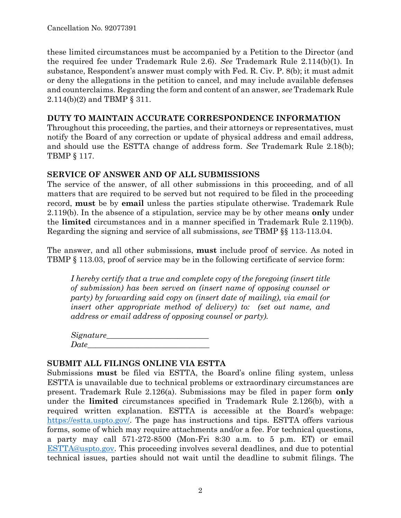these limited circumstances must be accompanied by a Petition to the Director (and the required fee under Trademark Rule 2.6). *See* Trademark Rule 2.114(b)(1). In substance, Respondent's answer must comply with Fed. R. Civ. P. 8(b); it must admit or deny the allegations in the petition to cancel, and may include available defenses and counterclaims. Regarding the form and content of an answer, *see* Trademark Rule 2.114(b)(2) and TBMP § 311.

## **DUTY TO MAINTAIN ACCURATE CORRESPONDENCE INFORMATION**

Throughout this proceeding, the parties, and their attorneys or representatives, must notify the Board of any correction or update of physical address and email address, and should use the ESTTA change of address form. *See* Trademark Rule 2.18(b); TBMP § 117.

#### **SERVICE OF ANSWER AND OF ALL SUBMISSIONS**

The service of the answer, of all other submissions in this proceeding, and of all matters that are required to be served but not required to be filed in the proceeding record, **must** be by **email** unless the parties stipulate otherwise. Trademark Rule 2.119(b). In the absence of a stipulation, service may be by other means **only** under the **limited** circumstances and in a manner specified in Trademark Rule 2.119(b). Regarding the signing and service of all submissions, *see* TBMP §§ 113-113.04.

The answer, and all other submissions, **must** include proof of service. As noted in TBMP § 113.03, proof of service may be in the following certificate of service form:

*I hereby certify that a true and complete copy of the foregoing (insert title of submission) has been served on (insert name of opposing counsel or party) by forwarding said copy on (insert date of mailing), via email (or insert other appropriate method of delivery) to: (set out name, and address or email address of opposing counsel or party).*

*Signature\_\_\_\_\_\_\_\_\_\_\_\_\_\_\_\_\_\_\_\_\_\_\_\_\_\_ Date\_\_\_\_\_\_\_\_\_\_\_\_\_\_\_\_\_\_\_\_\_\_\_\_\_\_\_\_\_\_\_*

## **SUBMIT ALL FILINGS ONLINE VIA ESTTA**

Submissions **must** be filed via ESTTA, the Board's online filing system, unless ESTTA is unavailable due to technical problems or extraordinary circumstances are present. Trademark Rule 2.126(a). Submissions may be filed in paper form **only** under the **limited** circumstances specified in Trademark Rule 2.126(b), with a required written explanation. ESTTA is accessible at the Board's webpage: [https://estta.uspto.gov/.](https://estta.uspto.gov/) The page has instructions and tips. ESTTA offers various forms, some of which may require attachments and/or a fee. For technical questions, a party may call 571-272-8500 (Mon-Fri 8:30 a.m. to 5 p.m. ET) or email [ESTTA@uspto.gov.](mailto:ESTTA@uspto.gov) This proceeding involves several deadlines, and due to potential technical issues, parties should not wait until the deadline to submit filings. The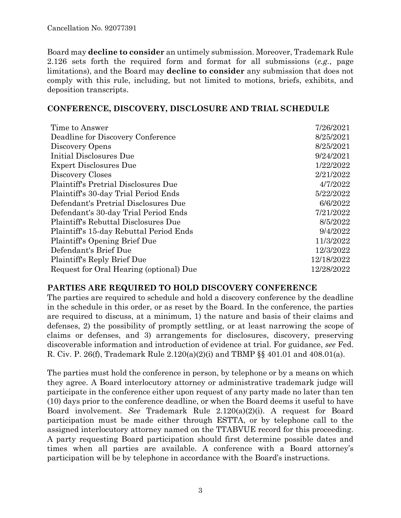Board may **decline to consider** an untimely submission. Moreover, Trademark Rule 2.126 sets forth the required form and format for all submissions (*e.g.*, page limitations), and the Board may **decline to consider** any submission that does not comply with this rule, including, but not limited to motions, briefs, exhibits, and deposition transcripts.

#### **CONFERENCE, DISCOVERY, DISCLOSURE AND TRIAL SCHEDULE**

| Time to Answer                              | 7/26/2021  |
|---------------------------------------------|------------|
| Deadline for Discovery Conference           | 8/25/2021  |
| Discovery Opens                             | 8/25/2021  |
| Initial Disclosures Due                     | 9/24/2021  |
| <b>Expert Disclosures Due</b>               | 1/22/2022  |
| Discovery Closes                            | 2/21/2022  |
| <b>Plaintiff's Pretrial Disclosures Due</b> | 4/7/2022   |
| Plaintiff's 30-day Trial Period Ends        | 5/22/2022  |
| Defendant's Pretrial Disclosures Due        | 6/6/2022   |
| Defendant's 30-day Trial Period Ends        | 7/21/2022  |
| Plaintiff's Rebuttal Disclosures Due        | 8/5/2022   |
| Plaintiff's 15-day Rebuttal Period Ends     | 9/4/2022   |
| Plaintiff's Opening Brief Due               | 11/3/2022  |
| Defendant's Brief Due                       | 12/3/2022  |
| Plaintiff's Reply Brief Due                 | 12/18/2022 |
| Request for Oral Hearing (optional) Due     | 12/28/2022 |

## **PARTIES ARE REQUIRED TO HOLD DISCOVERY CONFERENCE**

The parties are required to schedule and hold a discovery conference by the deadline in the schedule in this order, or as reset by the Board. In the conference, the parties are required to discuss, at a minimum, 1) the nature and basis of their claims and defenses, 2) the possibility of promptly settling, or at least narrowing the scope of claims or defenses, and 3) arrangements for disclosures, discovery, preserving discoverable information and introduction of evidence at trial. For guidance, *see* Fed. R. Civ. P. 26(f), Trademark Rule 2.120(a)(2)(i) and TBMP §§ 401.01 and 408.01(a).

The parties must hold the conference in person, by telephone or by a means on which they agree. A Board interlocutory attorney or administrative trademark judge will participate in the conference either upon request of any party made no later than ten (10) days prior to the conference deadline, or when the Board deems it useful to have Board involvement. *See* Trademark Rule 2.120(a)(2)(i). A request for Board participation must be made either through ESTTA, or by telephone call to the assigned interlocutory attorney named on the TTABVUE record for this proceeding. A party requesting Board participation should first determine possible dates and times when all parties are available. A conference with a Board attorney's participation will be by telephone in accordance with the Board's instructions.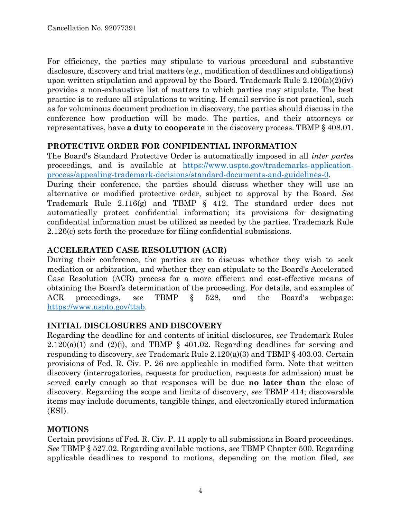For efficiency, the parties may stipulate to various procedural and substantive disclosure, discovery and trial matters (*e.g.*, modification of deadlines and obligations) upon written stipulation and approval by the Board. Trademark Rule 2.120(a)(2)(iv) provides a non-exhaustive list of matters to which parties may stipulate. The best practice is to reduce all stipulations to writing. If email service is not practical, such as for voluminous document production in discovery, the parties should discuss in the conference how production will be made. The parties, and their attorneys or representatives, have **a duty to cooperate** in the discovery process. TBMP § 408.01.

#### **PROTECTIVE ORDER FOR CONFIDENTIAL INFORMATION**

The Board's Standard Protective Order is automatically imposed in all *inter partes* proceedings, and is available at [https://www.uspto.gov/trademarks-application](https://www.uspto.gov/trademarks-application-process/appealing-trademark-decisions/standard-documents-and-guidelines-0)[process/appealing-trademark-decisions/standard-documents-and-guidelines-0.](https://www.uspto.gov/trademarks-application-process/appealing-trademark-decisions/standard-documents-and-guidelines-0)

During their conference, the parties should discuss whether they will use an alternative or modified protective order, subject to approval by the Board. *See* Trademark Rule 2.116(g) and TBMP § 412. The standard order does not automatically protect confidential information; its provisions for designating confidential information must be utilized as needed by the parties. Trademark Rule 2.126(c) sets forth the procedure for filing confidential submissions.

## **ACCELERATED CASE RESOLUTION (ACR)**

During their conference, the parties are to discuss whether they wish to seek mediation or arbitration, and whether they can stipulate to the Board's Accelerated Case Resolution (ACR) process for a more efficient and cost-effective means of obtaining the Board's determination of the proceeding. For details, and examples of ACR proceedings, *see* TBMP § 528, and the Board's webpage: [https://www.uspto.gov/ttab.](https://www.uspto.gov/ttab)

## **INITIAL DISCLOSURES AND DISCOVERY**

Regarding the deadline for and contents of initial disclosures, *see* Trademark Rules  $2.120(a)(1)$  and  $(2)(i)$ , and TBMP § 401.02. Regarding deadlines for serving and responding to discovery, *see* Trademark Rule 2.120(a)(3) and TBMP § 403.03. Certain provisions of Fed. R. Civ. P. 26 are applicable in modified form. Note that written discovery (interrogatories, requests for production, requests for admission) must be served **early** enough so that responses will be due **no later than** the close of discovery. Regarding the scope and limits of discovery, *see* TBMP 414; discoverable items may include documents, tangible things, and electronically stored information (ESI).

## **MOTIONS**

Certain provisions of Fed. R. Civ. P. 11 apply to all submissions in Board proceedings. *See* TBMP § 527.02. Regarding available motions, *see* TBMP Chapter 500. Regarding applicable deadlines to respond to motions, depending on the motion filed, *see*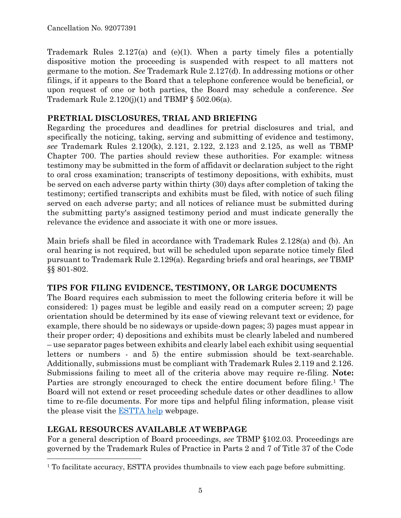Trademark Rules 2.127(a) and (e)(1). When a party timely files a potentially dispositive motion the proceeding is suspended with respect to all matters not germane to the motion. *See* Trademark Rule 2.127(d). In addressing motions or other filings, if it appears to the Board that a telephone conference would be beneficial, or upon request of one or both parties, the Board may schedule a conference. *See* Trademark Rule  $2.120(j)(1)$  and TBMP § 502.06(a).

# **PRETRIAL DISCLOSURES, TRIAL AND BRIEFING**

Regarding the procedures and deadlines for pretrial disclosures and trial, and specifically the noticing, taking, serving and submitting of evidence and testimony, *see* Trademark Rules 2.120(k), 2.121, 2.122, 2.123 and 2.125, as well as TBMP Chapter 700. The parties should review these authorities. For example: witness testimony may be submitted in the form of affidavit or declaration subject to the right to oral cross examination; transcripts of testimony depositions, with exhibits, must be served on each adverse party within thirty (30) days after completion of taking the testimony; certified transcripts and exhibits must be filed, with notice of such filing served on each adverse party; and all notices of reliance must be submitted during the submitting party's assigned testimony period and must indicate generally the relevance the evidence and associate it with one or more issues.

Main briefs shall be filed in accordance with Trademark Rules 2.128(a) and (b). An oral hearing is not required, but will be scheduled upon separate notice timely filed pursuant to Trademark Rule 2.129(a). Regarding briefs and oral hearings, *see* TBMP §§ 801-802.

## **TIPS FOR FILING EVIDENCE, TESTIMONY, OR LARGE DOCUMENTS**

The Board requires each submission to meet the following criteria before it will be considered: 1) pages must be legible and easily read on a computer screen; 2) page orientation should be determined by its ease of viewing relevant text or evidence, for example, there should be no sideways or upside-down pages; 3) pages must appear in their proper order; 4) depositions and exhibits must be clearly labeled and numbered – use separator pages between exhibits and clearly label each exhibit using sequential letters or numbers - and 5) the entire submission should be text-searchable. Additionally, submissions must be compliant with Trademark Rules 2.119 and 2.126. Submissions failing to meet all of the criteria above may require re-filing. **Note:** Parties are strongly encouraged to check the entire document before filing.<sup>1</sup> The Board will not extend or reset proceeding schedule dates or other deadlines to allow time to re-file documents. For more tips and helpful filing information, please visit the please visit the [ESTTA help](https://www.uspto.gov/trademarks-application-process/trademark-trial-and-appeal-board/estta-help) webpage.

# **LEGAL RESOURCES AVAILABLE AT WEBPAGE**

 $\overline{a}$ 

For a general description of Board proceedings, *see* TBMP §102.03. Proceedings are governed by the Trademark Rules of Practice in Parts 2 and 7 of Title 37 of the Code

<sup>&</sup>lt;sup>1</sup> To facilitate accuracy, ESTTA provides thumbnails to view each page before submitting.